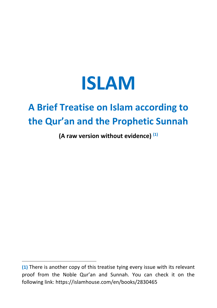

## **A Brief Treatise on Islam according to the Qur'an and the Prophetic Sunnah**

**(A raw version without evidence) (1)**

**<sup>(1)</sup>** There is another copy of this treatise tying every issue with its relevant proof from the Noble Qur'an and Sunnah. You can check it on the following link: https://islamhouse.com/en/books/2830465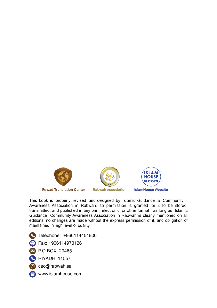





**IslamHouse Website** 

This book is properly revised and designed by Islamic Guidance & Community Awareness Association in Rabwah, so permission is granted for it to be stored, transmitted, and published in any print, electronic, or other format - as long as Islamic Guidance Community Awareness Association in Rabwah is clearly mentioned on all editions, no changes are made without the express permission of it, and obligation of maintained in high level of quality.

- Telephone: +966114454900
- Fax: +966114970126
- P.O.BOX: 29465
- RIYADH: 11557
- @ ceo@rabwah.sa
- (+) www.islamhouse.com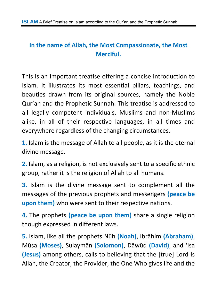#### **In the name of Allah, the Most Compassionate, the Most Merciful.**

This is an important treatise offering a concise introduction to Islam. It illustrates its most essential pillars, teachings, and beauties drawn from its original sources, namely the Noble Qur'an and the Prophetic Sunnah. This treatise is addressed to all legally competent individuals, Muslims and non-Muslims alike, in all of their respective languages, in all times and everywhere regardless of the changing circumstances.

**1.** Islam is the message of Allah to all people, as it is the eternal divine message.

**2.** Islam, as a religion, is not exclusively sent to a specific ethnic group, rather it is the religion of Allah to all humans.

**3.** Islam is the divine message sent to complement all the messages of the previous prophets and messengers **(peace be upon them)** who were sent to their respective nations.

**4.** The prophets **(peace be upon them)** share a single religion though expressed in different laws.

**5.** Islam, like all the prophets Nūh **(Noah)**, Ibrāhim **(Abraham)**, Mūsa **(Moses)**, Sulaymān **(Solomon)**, Dāwūd **(David)**, and 'Isa **(Jesus)** among others, calls to believing that the [true] Lord is Allah, the Creator, the Provider, the One Who gives life and the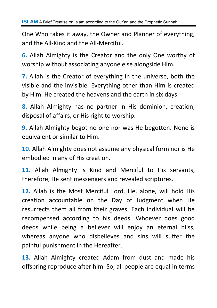One Who takes it away, the Owner and Planner of everything, and the All-Kind and the All-Merciful.

**6.** Allah Almighty is the Creator and the only One worthy of worship without associating anyone else alongside Him.

**7.** Allah is the Creator of everything in the universe, both the visible and the invisible. Everything other than Him is created by Him. He created the heavens and the earth in six days.

**8.** Allah Almighty has no partner in His dominion, creation, disposal of affairs, or His right to worship.

**9.** Allah Almighty begot no one nor was He begotten. None is equivalent or similar to Him.

**10.** Allah Almighty does not assume any physical form nor is He embodied in any of His creation.

**11.** Allah Almighty is Kind and Merciful to His servants, therefore, He sent messengers and revealed scriptures.

**12.** Allah is the Most Merciful Lord. He, alone, will hold His creation accountable on the Day of Judgment when He resurrects them all from their graves. Each individual will be recompensed according to his deeds. Whoever does good deeds while being a believer will enjoy an eternal bliss, whereas anyone who disbelieves and sins will suffer the painful punishment in the Hereafter.

**13.** Allah Almighty created Adam from dust and made his offspring reproduce after him. So, all people are equal in terms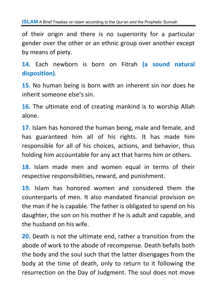of their origin and there is no superiority for a particular gender over the other or an ethnic group over another except by means of piety.

**14.** Each newborn is born on Fitrah **(a sound natural disposition)**.

**15.** No human being is born with an inherent sin nor does he inherit someone else's sin.

**16.** The ultimate end of creating mankind is to worship Allah alone.

**17.** Islam has honored the human being, male and female, and has guaranteed him all of his rights. It has made him responsible for all of his choices, actions, and behavior, thus holding him accountable for any act that harms him or others.

**18.** Islam made men and women equal in terms of their respective responsibilities, reward, and punishment.

**19.** Islam has honored women and considered them the counterparts of men. It also mandated financial provision on the man if he is capable. The father is obligated to spend on his daughter, the son on his mother if he is adult and capable, and the husband on his wife.

**20.** Death is not the ultimate end, rather a transition from the abode of work to the abode of recompense. Death befalls both the body and the soul such that the latter disengages from the body at the time of death, only to return to it following the resurrection on the Day of Judgment. The soul does not move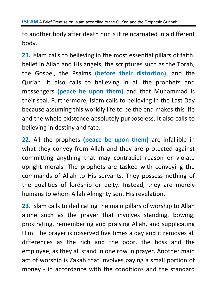to another body after death nor is it reincarnated in a different body.

**21.** Islam calls to believing in the most essential pillars of faith: belief in Allah and His angels, the scriptures such as the Torah, the Gospel, the Psalms **(before their distortion)**, and the Qur'an. It also calls to believing in all the prophets and messengers **(peace be upon them)** and that Muhammad is their seal. Furthermore, Islam calls to believing in the Last Day because assuming this worldly life to be the end makes this life and the whole existence absolutely purposeless. It also calls to believing in destiny and fate.

**22.** All the prophets **(peace be upon them)** are infallible in what they convey from Allah and they are protected against committing anything that may contradict reason or violate upright morals. The prophets are tasked with conveying the commands of Allah to His servants. They possess nothing of the qualities of lordship or deity. Instead, they are merely humans to whom Allah Almighty sent His revelation.

**23.** Islam calls to dedicating the main pillars of worship to Allah alone such as the prayer that involves standing, bowing, prostrating, remembering and praising Allah, and supplicating Him. The prayer is observed five times a day and it removes all differences as the rich and the poor, the boss and the employee, as they all stand in one row in prayer. Another main act of worship is Zakah that involves paying a small portion of money - in accordance with the conditions and the standard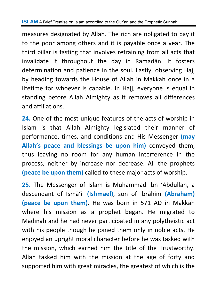measures designated by Allah. The rich are obligated to pay it to the poor among others and it is payable once a year. The third pillar is fasting that involves refraining from all acts that invalidate it throughout the day in Ramadān. It fosters determination and patience in the soul. Lastly, observing Hajj by heading towards the House of Allah in Makkah once in a lifetime for whoever is capable. In Hajj, everyone is equal in standing before Allah Almighty as it removes all differences and affiliations.

**24.** One of the most unique features of the acts of worship in Islam is that Allah Almighty legislated their manner of performance, times, and conditions and His Messenger **(may Allah's peace and blessings be upon him)** conveyed them, thus leaving no room for any human interference in the process, neither by increase nor decrease. All the prophets **(peace be upon them)** called to these major acts of worship.

**25.** The Messenger of Islam is Muhammad ibn 'Abdullah, a descendant of Ismā'il **(Ishmael)**, son of Ibrāhim **(Abraham) (peace be upon them)**. He was born in 571 AD in Makkah where his mission as a prophet began. He migrated to Madinah and he had never participated in any polytheistic act with his people though he joined them only in noble acts. He enjoyed an upright moral character before he was tasked with the mission, which earned him the title of the Trustworthy. Allah tasked him with the mission at the age of forty and supported him with great miracles, the greatest of which is the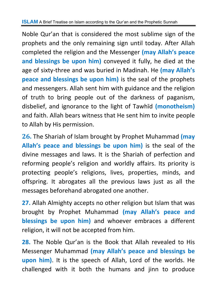Noble Qur'an that is considered the most sublime sign of the prophets and the only remaining sign until today. After Allah completed the religion and the Messenger **(may Allah's peace and blessings be upon him)** conveyed it fully, he died at the age of sixty-three and was buried in Madinah. He **(may Allah's peace and blessings be upon him)** is the seal of the prophets and messengers. Allah sent him with guidance and the religion of truth to bring people out of the darkness of paganism, disbelief, and ignorance to the light of Tawhīd **(monotheism)** and faith. Allah bears witness that He sent him to invite people to Allah by His permission.

**26.** The Shariah of Islam brought by Prophet Muhammad **(may Allah's peace and blessings be upon him)** is the seal of the divine messages and laws. It is the Shariah of perfection and reforming people's religion and worldly affairs. Its priority is protecting people's religions, lives, properties, minds, and offspring. It abrogates all the previous laws just as all the messages beforehand abrogated one another.

**27.** Allah Almighty accepts no other religion but Islam that was brought by Prophet Muhammad **(may Allah's peace and blessings be upon him)** and whoever embraces a different religion, it will not be accepted from him.

**28.** The Noble Qur'an is the Book that Allah revealed to His Messenger Muhammad **(may Allah's peace and blessings be upon him)**. It is the speech of Allah, Lord of the worlds. He challenged with it both the humans and jinn to produce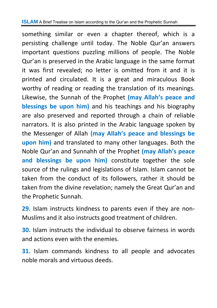something similar or even a chapter thereof, which is a persisting challenge until today. The Noble Qur'an answers important questions puzzling millions of people. The Noble Qur'an is preserved in the Arabic language in the same format it was first revealed; no letter is omitted from it and it is printed and circulated. It is a great and miraculous Book worthy of reading or reading the translation of its meanings. Likewise, the Sunnah of the Prophet **(may Allah's peace and blessings be upon him)** and his teachings and his biography are also preserved and reported through a chain of reliable narrators. It is also printed in the Arabic language spoken by the Messenger of Allah **(may Allah's peace and blessings be upon him)** and translated to many other languages. Both the Noble Qur'an and Sunnahh of the Prophet **(may Allah's peace and blessings be upon him)** constitute together the sole source of the rulings and legislations of Islam. Islam cannot be taken from the conduct of its followers, rather it should be taken from the divine revelation; namely the Great Qur'an and the Prophetic Sunnah.

**29.** Islam instructs kindness to parents even if they are non-Muslims and it also instructs good treatment of children.

**30.** Islam instructs the individual to observe fairness in words and actions even with the enemies.

**31.** Islam commands kindness to all people and advocates noble morals and virtuous deeds.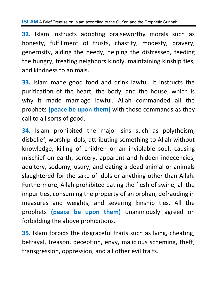**32.** Islam instructs adopting praiseworthy morals such as honesty, fulfillment of trusts, chastity, modesty, bravery, generosity, aiding the needy, helping the distressed, feeding the hungry, treating neighbors kindly, maintaining kinship ties, and kindness to animals.

**33.** Islam made good food and drink lawful. It instructs the purification of the heart, the body, and the house, which is why it made marriage lawful. Allah commanded all the prophets **(peace be upon them)** with those commands as they call to all sorts of good.

**34.** Islam prohibited the major sins such as polytheism, disbelief, worship idols, attributing something to Allah without knowledge, killing of children or an inviolable soul, causing mischief on earth, sorcery, apparent and hidden indecencies, adultery, sodomy, usury, and eating a dead animal or animals slaughtered for the sake of idols or anything other than Allah. Furthermore, Allah prohibited eating the flesh of swine, all the impurities, consuming the property of an orphan, defrauding in measures and weights, and severing kinship ties. All the prophets **(peace be upon them)** unanimously agreed on forbidding the above prohibitions.

**35.** Islam forbids the disgraceful traits such as lying, cheating, betrayal, treason, deception, envy, malicious scheming, theft, transgression, oppression, and all other evil traits.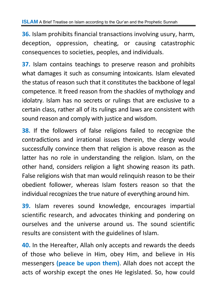**36.** Islam prohibits financial transactions involving usury, harm, deception, oppression, cheating, or causing catastrophic consequences to societies, peoples, and individuals.

**37.** Islam contains teachings to preserve reason and prohibits what damages it such as consuming intoxicants. Islam elevated the status of reason such that it constitutes the backbone of legal competence. It freed reason from the shackles of mythology and idolatry. Islam has no secrets or rulings that are exclusive to a certain class, rather all of its rulings and laws are consistent with sound reason and comply with justice and wisdom.

**38.** If the followers of false religions failed to recognize the contradictions and irrational issues therein, the clergy would successfully convince them that religion is above reason as the latter has no role in understanding the religion. Islam, on the other hand, considers religion a light showing reason its path. False religions wish that man would relinquish reason to be their obedient follower, whereas Islam fosters reason so that the individual recognizes the true nature of everything around him.

**39.** Islam reveres sound knowledge, encourages impartial scientific research, and advocates thinking and pondering on ourselves and the universe around us. The sound scientific results are consistent with the guidelines of Islam.

**40.** In the Hereafter, Allah only accepts and rewards the deeds of those who believe in Him, obey Him, and believe in His messengers **(peace be upon them)**. Allah does not accept the acts of worship except the ones He legislated. So, how could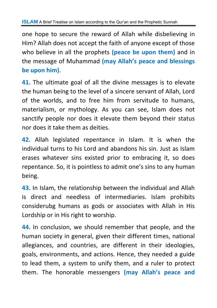one hope to secure the reward of Allah while disbelieving in Him? Allah does not accept the faith of anyone except of those who believe in all the prophets **(peace be upon them)** and in the message of Muhammad **(may Allah's peace and blessings be upon him)**.

**41.** The ultimate goal of all the divine messages is to elevate the human being to the level of a sincere servant of Allah, Lord of the worlds, and to free him from servitude to humans, materialism, or mythology. As you can see, Islam does not sanctify people nor does it elevate them beyond their status nor does it take them as deities.

**42.** Allah legislated repentance in Islam. It is when the individual turns to his Lord and abandons his sin. Just as Islam erases whatever sins existed prior to embracing it, so does repentance. So, it is pointless to admit one's sins to any human being.

**43.** In Islam, the relationship between the individual and Allah is direct and needless of intermediaries. Islam prohibits considerubg humans as gods or associates with Allah in His Lordship or in His right to worship.

**44.** In conclusion, we should remember that people, and the human society in general, given their different times, national allegiances, and countries, are different in their ideologies, goals, environments, and actions. Hence, they needed a guide to lead them, a system to unify them, and a ruler to protect them. The honorable messengers **(may Allah's peace and**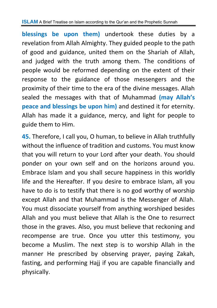**blessings be upon them)** undertook these duties by a revelation from Allah Almighty. They guided people to the path of good and guidance, united them on the Shariah of Allah, and judged with the truth among them. The conditions of people would be reformed depending on the extent of their response to the guidance of those messengers and the proximity of their time to the era of the divine messages. Allah sealed the messages with that of Muhammad **(may Allah's peace and blessings be upon him)** and destined it for eternity. Allah has made it a guidance, mercy, and light for people to guide them to Him.

**45.** Therefore, I call you, O human, to believe in Allah truthfully without the influence of tradition and customs. You must know that you will return to your Lord after your death. You should ponder on your own self and on the horizons around you. Embrace Islam and you shall secure happiness in this worldly life and the Hereafter. If you desire to embrace Islam, all you have to do is to testify that there is no god worthy of worship except Allah and that Muhammad is the Messenger of Allah. You must dissociate yourself from anything worshiped besides Allah and you must believe that Allah is the One to resurrect those in the graves. Also, you must believe that reckoning and recompense are true. Once you utter this testimony, you become a Muslim. The next step is to worship Allah in the manner He prescribed by observing prayer, paying Zakah, fasting, and performing Haij if you are capable financially and physically.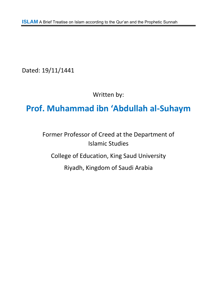Dated: 19/11/1441

Written by:

#### **Prof. Muhammad ibn 'Abdullah al-Suhaym**

Former Professor of Creed at the Department of Islamic Studies College of Education, King Saud University Riyadh, Kingdom of Saudi Arabia